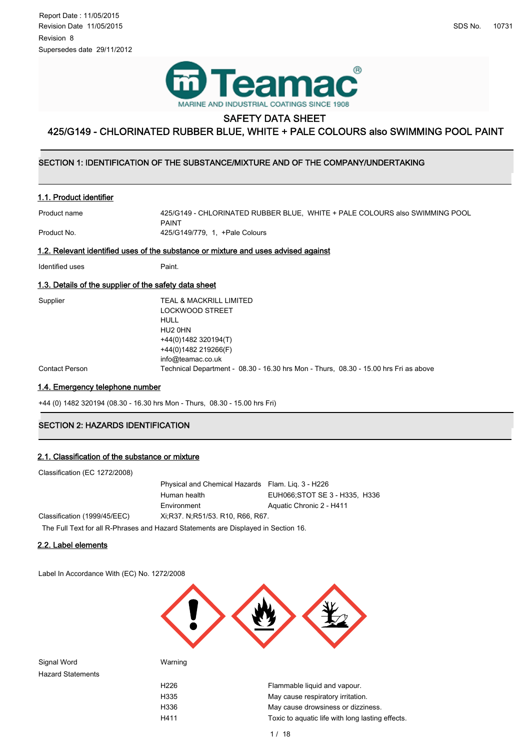

# SAFETY DATA SHEET

# 425/G149 - CHLORINATED RUBBER BLUE, WHITE + PALE COLOURS also SWIMMING POOL PAINT

#### ۱  $\overline{\phantom{0}}$ SECTION 1: IDENTIFICATION OF THE SUBSTANCE/MIXTURE AND OF THE COMPANY/UNDERTAKING

# 1.1. Product identifier

Product name 425/G149 - CHLORINATED RUBBER BLUE, WHITE + PALE COLOURS also SWIMMING POOL PAINT Product No. 25/G149/779, 1, +Pale Colours

## 1.2. Relevant identified uses of the substance or mixture and uses advised against

Identified uses **Paint.** 

## 1.3. Details of the supplier of the safety data sheet

| TEAL & MACKRILL LIMITED                                                              |
|--------------------------------------------------------------------------------------|
| <b>LOCKWOOD STREET</b>                                                               |
| HULL                                                                                 |
| HU2 0HN                                                                              |
| +44(0)1482 320194(T)                                                                 |
| +44(0)1482 219266(F)                                                                 |
| info@teamac.co.uk                                                                    |
| Technical Department - 08.30 - 16.30 hrs Mon - Thurs, 08.30 - 15.00 hrs Fri as above |
|                                                                                      |

# 1.4. Emergency telephone number

+44 (0) 1482 320194 (08.30 - 16.30 hrs Mon - Thurs, 08.30 - 15.00 hrs Fri)

# **SECTION 2: HAZARDS IDENTIFICATION**

# 2.1. Classification of the substance or mixture

| Classification (EC 1272/2008) |        |
|-------------------------------|--------|
|                               | Physic |

|                                                                                                                | Physical and Chemical Hazards Flam. Lig. 3 - H226 |                                |
|----------------------------------------------------------------------------------------------------------------|---------------------------------------------------|--------------------------------|
|                                                                                                                | Human health                                      | EUH066; STOT SE 3 - H335, H336 |
|                                                                                                                | Environment                                       | Aquatic Chronic 2 - H411       |
| Classification (1999/45/EEC)                                                                                   | Xi, R37, N, R51/53, R10, R66, R67.                |                                |
| TIP IT IS DON'T IS I AT IT A PART IS A PART OF THE U.S. OF THE U.S. OF THE U.S. OF THE U.S. OF THE U.S. OF THE |                                                   |                                |

The Full Text for all R-Phrases and Hazard Statements are Displayed in Section 16.

# 2.2. Label elements

Label In Accordance With (EC) No. 1272/2008



Signal Word Warning Hazard Statements

H226 **Flammable liquid and vapour.** H335 May cause respiratory irritation. H336 May cause drowsiness or dizziness. H411 Toxic to aquatic life with long lasting effects.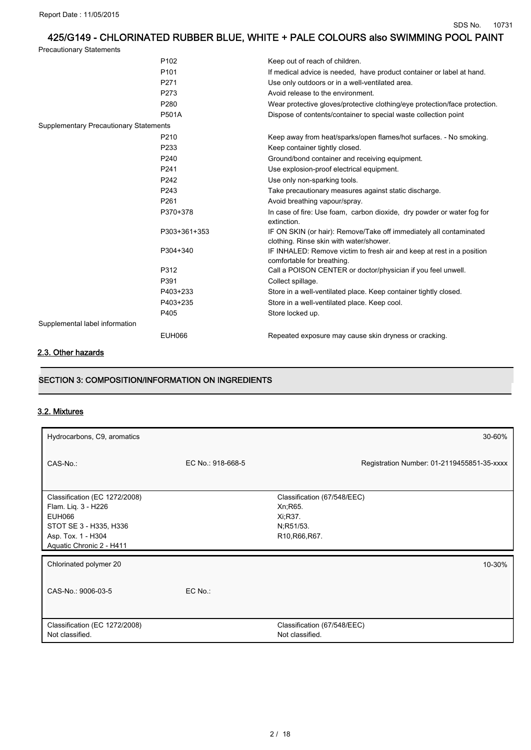Precautionary Statements

|                                        | P <sub>102</sub> | Keep out of reach of children.                                                                                |
|----------------------------------------|------------------|---------------------------------------------------------------------------------------------------------------|
|                                        | P <sub>101</sub> | If medical advice is needed, have product container or label at hand.                                         |
|                                        | P271             | Use only outdoors or in a well-ventilated area.                                                               |
|                                        | P273             | Avoid release to the environment.                                                                             |
|                                        | P280             | Wear protective gloves/protective clothing/eye protection/face protection.                                    |
|                                        | <b>P501A</b>     | Dispose of contents/container to special waste collection point                                               |
| Supplementary Precautionary Statements |                  |                                                                                                               |
|                                        | P210             | Keep away from heat/sparks/open flames/hot surfaces. - No smoking.                                            |
|                                        | P233             | Keep container tightly closed.                                                                                |
|                                        | P240             | Ground/bond container and receiving equipment.                                                                |
|                                        | P241             | Use explosion-proof electrical equipment.                                                                     |
|                                        | P242             | Use only non-sparking tools.                                                                                  |
|                                        | P243             | Take precautionary measures against static discharge.                                                         |
|                                        | P261             | Avoid breathing vapour/spray.                                                                                 |
|                                        | P370+378         | In case of fire: Use foam, carbon dioxide, dry powder or water fog for<br>extinction.                         |
|                                        | P303+361+353     | IF ON SKIN (or hair): Remove/Take off immediately all contaminated<br>clothing. Rinse skin with water/shower. |
|                                        | P304+340         | IF INHALED: Remove victim to fresh air and keep at rest in a position<br>comfortable for breathing.           |
|                                        | P312             | Call a POISON CENTER or doctor/physician if you feel unwell.                                                  |
|                                        | P391             | Collect spillage.                                                                                             |
|                                        | P403+233         | Store in a well-ventilated place. Keep container tightly closed.                                              |
|                                        | P403+235         | Store in a well-ventilated place. Keep cool.                                                                  |
|                                        | P405             | Store locked up.                                                                                              |
| Supplemental label information         |                  |                                                                                                               |
|                                        | <b>EUH066</b>    | Repeated exposure may cause skin dryness or cracking.                                                         |
| .                                      |                  |                                                                                                               |

## 2.3. Other hazards

# SECTION 3: COMPOSITION/INFORMATION ON INGREDIENTS

# 3.2. Mixtures

| Hydrocarbons, C9, aromatics                                                                                                                       |                   | 30-60%                                                                            |
|---------------------------------------------------------------------------------------------------------------------------------------------------|-------------------|-----------------------------------------------------------------------------------|
| CAS-No.:                                                                                                                                          | EC No.: 918-668-5 | Registration Number: 01-2119455851-35-xxxx                                        |
| Classification (EC 1272/2008)<br>Flam. Lig. 3 - H226<br><b>EUH066</b><br>STOT SE 3 - H335, H336<br>Asp. Tox. 1 - H304<br>Aquatic Chronic 2 - H411 |                   | Classification (67/548/EEC)<br>Xn; R65.<br>Xi:R37.<br>N;R51/53.<br>R10, R66, R67. |
| Chlorinated polymer 20                                                                                                                            |                   | 10-30%                                                                            |
| CAS-No.: 9006-03-5                                                                                                                                | EC No.:           |                                                                                   |
| Classification (EC 1272/2008)<br>Not classified.                                                                                                  |                   | Classification (67/548/EEC)<br>Not classified.                                    |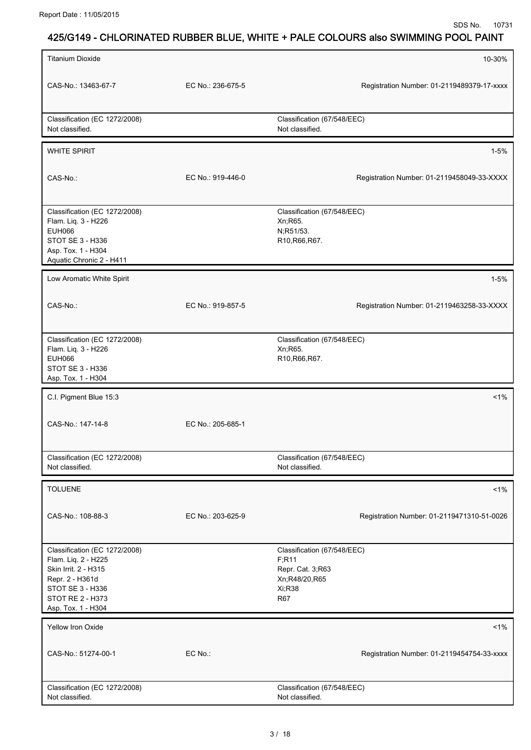| <b>Titanium Dioxide</b>                                                                                                                                       |                   | 10-30%                                                                                            |
|---------------------------------------------------------------------------------------------------------------------------------------------------------------|-------------------|---------------------------------------------------------------------------------------------------|
| CAS-No.: 13463-67-7                                                                                                                                           | EC No.: 236-675-5 | Registration Number: 01-2119489379-17-xxxx                                                        |
| Classification (EC 1272/2008)<br>Not classified.                                                                                                              |                   | Classification (67/548/EEC)<br>Not classified.                                                    |
| <b>WHITE SPIRIT</b>                                                                                                                                           |                   | $1 - 5%$                                                                                          |
| CAS-No.:                                                                                                                                                      | EC No.: 919-446-0 | Registration Number: 01-2119458049-33-XXXX                                                        |
| Classification (EC 1272/2008)<br>Flam. Liq. 3 - H226<br><b>EUH066</b><br>STOT SE 3 - H336<br>Asp. Tox. 1 - H304<br>Aquatic Chronic 2 - H411                   |                   | Classification (67/548/EEC)<br>Xn; R65.<br>N;R51/53.<br>R10, R66, R67.                            |
| Low Aromatic White Spirit                                                                                                                                     |                   | $1 - 5%$                                                                                          |
| CAS-No.:                                                                                                                                                      | EC No.: 919-857-5 | Registration Number: 01-2119463258-33-XXXX                                                        |
| Classification (EC 1272/2008)<br>Flam. Liq. 3 - H226<br><b>EUH066</b><br>STOT SE 3 - H336                                                                     |                   | Classification (67/548/EEC)<br>Xn; R65.<br>R10, R66, R67.                                         |
| Asp. Tox. 1 - H304                                                                                                                                            |                   |                                                                                                   |
| C.I. Pigment Blue 15:3                                                                                                                                        |                   | $1\%$                                                                                             |
| CAS-No.: 147-14-8                                                                                                                                             | EC No.: 205-685-1 |                                                                                                   |
| Classification (EC 1272/2008)<br>Not classified.                                                                                                              |                   | Classification (67/548/EEC)<br>Not classified.                                                    |
| <b>TOLUENE</b>                                                                                                                                                |                   | $1\%$                                                                                             |
| CAS-No.: 108-88-3                                                                                                                                             | EC No.: 203-625-9 | Registration Number: 01-2119471310-51-0026                                                        |
| Classification (EC 1272/2008)<br>Flam. Liq. 2 - H225<br>Skin Irrit. 2 - H315<br>Repr. 2 - H361d<br>STOT SE 3 - H336<br>STOT RE 2 - H373<br>Asp. Tox. 1 - H304 |                   | Classification (67/548/EEC)<br>F;R11<br>Repr. Cat. 3,R63<br>Xn;R48/20,R65<br>Xi;R38<br><b>R67</b> |
| Yellow Iron Oxide                                                                                                                                             |                   | $1\%$                                                                                             |
| CAS-No.: 51274-00-1                                                                                                                                           | EC No.:           | Registration Number: 01-2119454754-33-xxxx                                                        |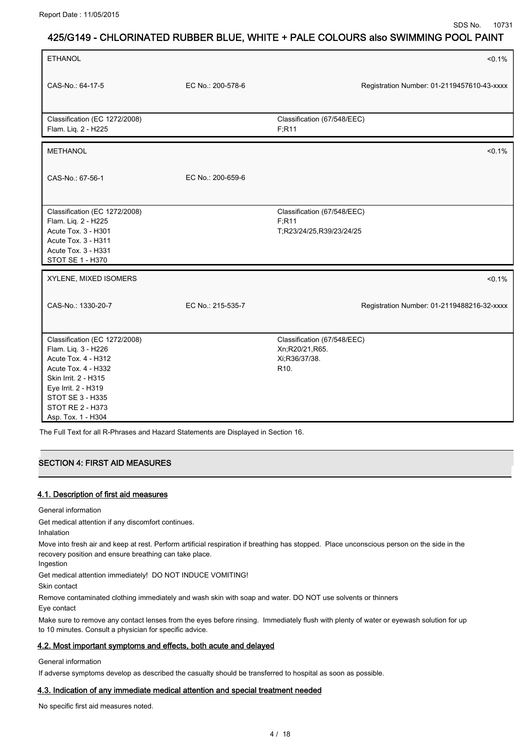| <b>ETHANOL</b>                                                                                                                                                                                                         |                   | $< 0.1\%$                                                                           |
|------------------------------------------------------------------------------------------------------------------------------------------------------------------------------------------------------------------------|-------------------|-------------------------------------------------------------------------------------|
| CAS-No.: 64-17-5                                                                                                                                                                                                       | EC No.: 200-578-6 | Registration Number: 01-2119457610-43-xxxx                                          |
| Classification (EC 1272/2008)<br>Flam. Liq. 2 - H225                                                                                                                                                                   |                   | Classification (67/548/EEC)<br>F:R11                                                |
| <b>METHANOL</b>                                                                                                                                                                                                        |                   | $< 0.1\%$                                                                           |
| CAS-No.: 67-56-1                                                                                                                                                                                                       | EC No.: 200-659-6 |                                                                                     |
| Classification (EC 1272/2008)<br>Flam. Liq. 2 - H225<br>Acute Tox. 3 - H301<br>Acute Tox. 3 - H311<br>Acute Tox. 3 - H331<br>STOT SE 1 - H370                                                                          |                   | Classification (67/548/EEC)<br>F; R11<br>T;R23/24/25,R39/23/24/25                   |
| XYLENE, MIXED ISOMERS                                                                                                                                                                                                  |                   | $< 0.1\%$                                                                           |
| CAS-No.: 1330-20-7                                                                                                                                                                                                     | EC No.: 215-535-7 | Registration Number: 01-2119488216-32-xxxx                                          |
| Classification (EC 1272/2008)<br>Flam. Liq. 3 - H226<br>Acute Tox. 4 - H312<br>Acute Tox. 4 - H332<br>Skin Irrit. 2 - H315<br>Eye Irrit. 2 - H319<br>STOT SE 3 - H335<br><b>STOT RE 2 - H373</b><br>Asp. Tox. 1 - H304 |                   | Classification (67/548/EEC)<br>Xn;R20/21,R65.<br>Xi;R36/37/38.<br>R <sub>10</sub> . |

The Full Text for all R-Phrases and Hazard Statements are Displayed in Section 16.

# **SECTION 4: FIRST AID MEASURES**

### 4.1. Description of first aid measures

General information

Get medical attention if any discomfort continues.

Inhalation

Move into fresh air and keep at rest. Perform artificial respiration if breathing has stopped. Place unconscious person on the side in the recovery position and ensure breathing can take place.

Ingestion

Get medical attention immediately! DO NOT INDUCE VOMITING!

Skin contact

Remove contaminated clothing immediately and wash skin with soap and water. DO NOT use solvents or thinners

Eye contact

Make sure to remove any contact lenses from the eyes before rinsing. Immediately flush with plenty of water or eyewash solution for up to 10 minutes. Consult a physician for specific advice.

## 4.2. Most important symptoms and effects, both acute and delayed

General information

If adverse symptoms develop as described the casualty should be transferred to hospital as soon as possible.

## 4.3. Indication of any immediate medical attention and special treatment needed

No specific first aid measures noted.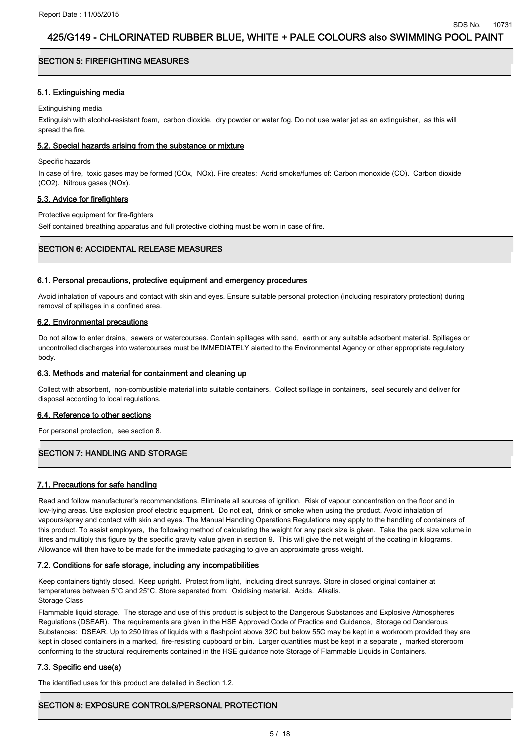# **.**<br>SECTION 5: FIREFIGHTING MEASURES

### 5.1. Extinguishing media

Extinguishing media

Extinguish with alcohol-resistant foam, carbon dioxide, dry powder or water fog. Do not use water jet as an extinguisher, as this will spread the fire.

### 5.2. Special hazards arising from the substance or mixture

Specific hazards

In case of fire, toxic gases may be formed (COx, NOx). Fire creates: Acrid smoke/fumes of: Carbon monoxide (CO). Carbon dioxide (CO2). Nitrous gases (NOx).

## 5.3. Advice for firefighters

Protective equipment for fire-fighters

Self contained breathing apparatus and full protective clothing must be worn in case of fire.

# SECTION 6: ACCIDENTAL RELEASE MEASURES

### 6.1. Personal precautions, protective equipment and emergency procedures

Avoid inhalation of vapours and contact with skin and eyes. Ensure suitable personal protection (including respiratory protection) during removal of spillages in a confined area.

### 6.2. Environmental precautions

Do not allow to enter drains, sewers or watercourses. Contain spillages with sand, earth or any suitable adsorbent material. Spillages or uncontrolled discharges into watercourses must be IMMEDIATELY alerted to the Environmental Agency or other appropriate regulatory body.

### 6.3. Methods and material for containment and cleaning up

Collect with absorbent, non-combustible material into suitable containers. Collect spillage in containers, seal securely and deliver for disposal according to local regulations.

### 6.4. Reference to other sections

For personal protection, see section 8.

# .<br>SECTION 7: HANDLING AND STORAGE

# 7.1. Precautions for safe handling

Read and follow manufacturer's recommendations. Eliminate all sources of ignition. Risk of vapour concentration on the floor and in low-lying areas. Use explosion proof electric equipment. Do not eat, drink or smoke when using the product. Avoid inhalation of vapours/spray and contact with skin and eyes. The Manual Handling Operations Regulations may apply to the handling of containers of this product. To assist employers, the following method of calculating the weight for any pack size is given. Take the pack size volume in litres and multiply this figure by the specific gravity value given in section 9. This will give the net weight of the coating in kilograms. Allowance will then have to be made for the immediate packaging to give an approximate gross weight.

### 7.2. Conditions for safe storage, including any incompatibilities

Keep containers tightly closed. Keep upright. Protect from light, including direct sunrays. Store in closed original container at temperatures between 5°C and 25°C. Store separated from: Oxidising material. Acids. Alkalis. Storage Class

Flammable liquid storage. The storage and use of this product is subject to the Dangerous Substances and Explosive Atmospheres Regulations (DSEAR). The requirements are given in the HSE Approved Code of Practice and Guidance, Storage od Danderous Substances: DSEAR. Up to 250 litres of liquids with a flashpoint above 32C but below 55C may be kept in a workroom provided they are kept in closed containers in a marked, fire-resisting cupboard or bin. Larger quantities must be kept in a separate , marked storeroom conforming to the structural requirements contained in the HSE guidance note Storage of Flammable Liquids in Containers.

### 7.3. Specific end use(s)

The identified uses for this product are detailed in Section 1.2.

# SECTION 8: EXPOSURE CONTROLS/PERSONAL PROTECTION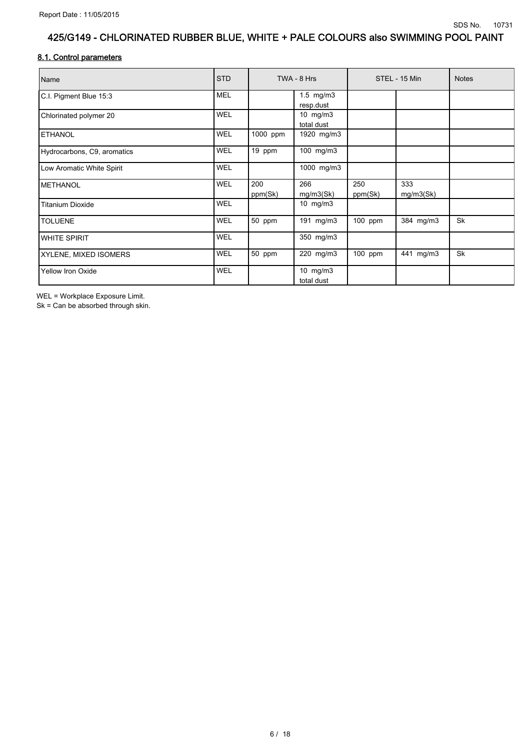## 8.1. Control parameters

| Name                        | <b>STD</b> |          | TWA - 8 Hrs              |           | STEL - 15 Min | <b>Notes</b> |
|-----------------------------|------------|----------|--------------------------|-----------|---------------|--------------|
| C.I. Pigment Blue 15:3      | <b>MEL</b> |          | $1.5$ mg/m $3$           |           |               |              |
|                             |            |          | resp.dust                |           |               |              |
| Chlorinated polymer 20      | <b>WEL</b> |          | 10 $mg/m3$               |           |               |              |
|                             |            |          | total dust               |           |               |              |
| <b>ETHANOL</b>              | WEL        | 1000 ppm | 1920 mg/m3               |           |               |              |
| Hydrocarbons, C9, aromatics | <b>WEL</b> | 19 ppm   | 100 mg/m3                |           |               |              |
| Low Aromatic White Spirit   | <b>WEL</b> |          | 1000 mg/m3               |           |               |              |
| IMETHANOL                   | <b>WEL</b> | 200      | 266                      | 250       | 333           |              |
|                             |            | ppm(Sk)  | mg/m3(Sk)                | ppm(Sk)   | mg/m3(Sk)     |              |
| <b>Titanium Dioxide</b>     | WEL        |          | 10 mg/m3                 |           |               |              |
| <b>TOLUENE</b>              | <b>WEL</b> | 50 ppm   | 191 mg/m3                | 100 ppm   | 384 mg/m3     | <b>Sk</b>    |
| <b>WHITE SPIRIT</b>         | WEL        |          | 350 mg/m3                |           |               |              |
| XYLENE, MIXED ISOMERS       | WEL        | 50 ppm   | 220 mg/m3                | $100$ ppm | 441 mg/m3     | Sk           |
| <b>Yellow Iron Oxide</b>    | WEL        |          | 10 $mg/m3$<br>total dust |           |               |              |

WEL = Workplace Exposure Limit.

Sk = Can be absorbed through skin.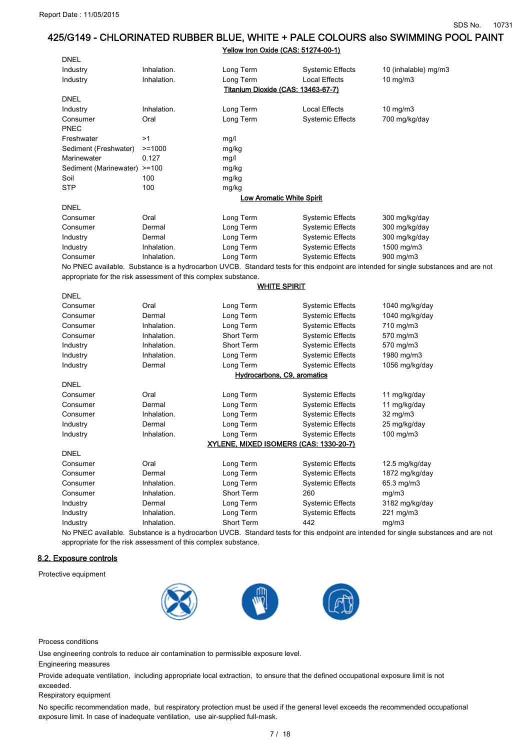### Yellow Iron Oxide (CAS: 51274-00-1)

| <b>DNEL</b>                  |                                                                |                                        |                                |                                                                                                                                     |
|------------------------------|----------------------------------------------------------------|----------------------------------------|--------------------------------|-------------------------------------------------------------------------------------------------------------------------------------|
| Industry                     | Inhalation.                                                    | Long Term                              | <b>Systemic Effects</b>        | 10 (inhalable) mg/m3                                                                                                                |
| Industry                     | Inhalation.                                                    | Long Term                              | <b>Local Effects</b>           | $10$ mg/m $3$                                                                                                                       |
|                              |                                                                | Titanium Dioxide (CAS: 13463-67-7)     |                                |                                                                                                                                     |
| <b>DNEL</b>                  |                                                                |                                        |                                |                                                                                                                                     |
| Industry                     | Inhalation.                                                    | Long Term                              | <b>Local Effects</b>           | 10 mg/m3                                                                                                                            |
| Consumer                     | Oral                                                           | Long Term                              | <b>Systemic Effects</b>        | 700 mg/kg/day                                                                                                                       |
| PNEC                         |                                                                |                                        |                                |                                                                                                                                     |
| Freshwater                   | >1                                                             | mg/l                                   |                                |                                                                                                                                     |
| Sediment (Freshwater)        | $>=1000$                                                       | mg/kg                                  |                                |                                                                                                                                     |
| Marinewater                  | 0.127                                                          | mg/l                                   |                                |                                                                                                                                     |
| Sediment (Marinewater) >=100 |                                                                | mg/kg                                  |                                |                                                                                                                                     |
| Soil                         | 100                                                            | mg/kg                                  |                                |                                                                                                                                     |
| STP                          | 100                                                            | mg/kg                                  |                                |                                                                                                                                     |
|                              |                                                                | <b>Low Aromatic White Spirit</b>       |                                |                                                                                                                                     |
| <b>DNEL</b>                  |                                                                |                                        |                                |                                                                                                                                     |
| Consumer                     | Oral                                                           | Long Term                              | <b>Systemic Effects</b>        | 300 mg/kg/day                                                                                                                       |
| Consumer                     | Dermal                                                         | Long Term                              | <b>Systemic Effects</b>        | 300 mg/kg/day                                                                                                                       |
| Industry                     | Dermal                                                         | Long Term                              | <b>Systemic Effects</b>        | 300 mg/kg/day                                                                                                                       |
| Industry                     | Inhalation.                                                    | Long Term                              | <b>Systemic Effects</b>        | 1500 mg/m3                                                                                                                          |
| Consumer                     | Inhalation.                                                    | Long Term                              | <b>Systemic Effects</b>        | 900 mg/m3                                                                                                                           |
|                              |                                                                |                                        |                                | No PNEC available. Substance is a hydrocarbon UVCB. Standard tests for this endpoint are intended for single substances and are not |
|                              | appropriate for the risk assessment of this complex substance. |                                        |                                |                                                                                                                                     |
|                              |                                                                | <b>WHITE SPIRIT</b>                    |                                |                                                                                                                                     |
| <b>DNEL</b>                  |                                                                |                                        |                                |                                                                                                                                     |
| Consumer                     | Oral                                                           | Long Term                              | <b>Systemic Effects</b>        | 1040 mg/kg/day                                                                                                                      |
| Consumer                     | Dermal                                                         | Long Term                              | <b>Systemic Effects</b>        | 1040 mg/kg/day                                                                                                                      |
| Consumer                     | Inhalation.                                                    | Long Term                              | <b>Systemic Effects</b>        | 710 mg/m3                                                                                                                           |
| Consumer                     | Inhalation.                                                    | Short Term                             | <b>Systemic Effects</b>        | 570 mg/m3                                                                                                                           |
| Industry                     | Inhalation.                                                    | <b>Short Term</b>                      | <b>Systemic Effects</b>        | 570 mg/m3                                                                                                                           |
| Industry                     | Inhalation.                                                    | Long Term                              | <b>Systemic Effects</b>        | 1980 mg/m3                                                                                                                          |
| Industry                     | Dermal                                                         | Long Term                              | <b>Systemic Effects</b>        | 1056 mg/kg/day                                                                                                                      |
| Hydrocarbons, C9, aromatics  |                                                                |                                        |                                |                                                                                                                                     |
| <b>DNEL</b>                  |                                                                |                                        |                                |                                                                                                                                     |
| Consumer                     | Oral                                                           | Long Term                              | <b>Systemic Effects</b>        | 11 mg/kg/day                                                                                                                        |
| Consumer                     | Dermal                                                         | Long Term                              | Systemic Effects               | 11 mg/kg/day                                                                                                                        |
| Consumer                     | Inhalation.                                                    | Long Term                              | <b>Systemic Effects</b>        | 32 mg/m3                                                                                                                            |
| Industry                     | Dermal                                                         | Long Term                              | <b>Systemic Effects</b>        | 25 mg/kg/day                                                                                                                        |
| Industry                     | Inhalation.                                                    | Long Term                              | <b>Systemic Effects</b>        | 100 mg/m3                                                                                                                           |
|                              |                                                                | XYLENE, MIXED ISOMERS (CAS: 1330-20-7) |                                |                                                                                                                                     |
| DNEL                         |                                                                |                                        |                                |                                                                                                                                     |
| Consumer                     | Oral                                                           | Long Term                              | <b>Systemic Effects</b>        | 12.5 mg/kg/day                                                                                                                      |
| Consumer                     | Dermal<br>Inhalation.                                          | Long Term                              | <b>Systemic Effects</b>        | 1872 mg/kg/day<br>65.3 mg/m3                                                                                                        |
| Consumer<br>Consumer         | Inhalation.                                                    | Long Term<br>Short Term                | <b>Systemic Effects</b><br>260 | mg/m3                                                                                                                               |
| Industry                     | Dermal                                                         | Long Term                              | <b>Systemic Effects</b>        | 3182 mg/kg/day                                                                                                                      |
| Industry                     | Inhalation.                                                    | Long Term                              | <b>Systemic Effects</b>        | 221 mg/m3                                                                                                                           |
| Industry                     | Inhalation.                                                    | <b>Short Term</b>                      | 442                            | mg/m3                                                                                                                               |
|                              |                                                                |                                        |                                |                                                                                                                                     |

No PNEC available. Substance is a hydrocarbon UVCB. Standard tests for this endpoint are intended for single substances and are not appropriate for the risk assessment of this complex substance.

### 8.2. Exposure controls

Protective equipment



Process conditions

Use engineering controls to reduce air contamination to permissible exposure level.

Engineering measures

Provide adequate ventilation, including appropriate local extraction, to ensure that the defined occupational exposure limit is not exceeded.

Respiratory equipment

No specific recommendation made, but respiratory protection must be used if the general level exceeds the recommended occupational exposure limit. In case of inadequate ventilation, use air-supplied full-mask.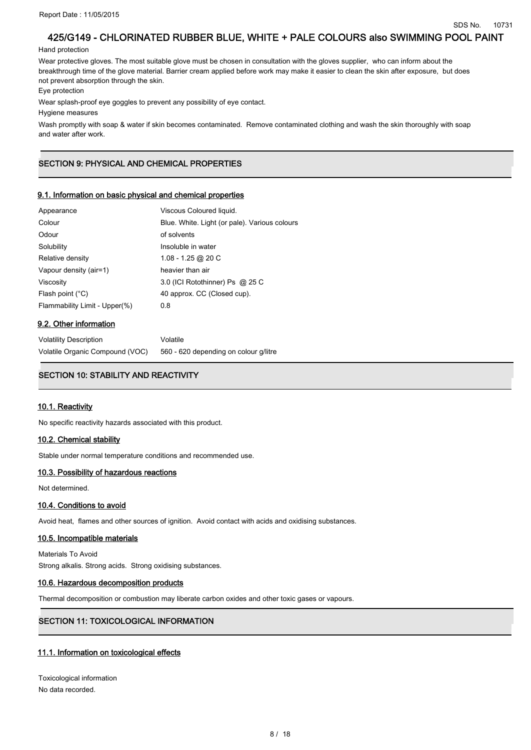### Hand protection

Wear protective gloves. The most suitable glove must be chosen in consultation with the gloves supplier, who can inform about the breakthrough time of the glove material. Barrier cream applied before work may make it easier to clean the skin after exposure, but does not prevent absorption through the skin.

Eye protection

Wear splash-proof eye goggles to prevent any possibility of eye contact.

Hygiene measures

Wash promptly with soap & water if skin becomes contaminated. Remove contaminated clothing and wash the skin thoroughly with soap and water after work.

# SECTION 9: PHYSICAL AND CHEMICAL PROPERTIES

## 9.1. Information on basic physical and chemical properties

| Appearance                    | Viscous Coloured liquid.                      |
|-------------------------------|-----------------------------------------------|
| Colour                        | Blue. White. Light (or pale). Various colours |
| Odour                         | of solvents                                   |
| Solubility                    | Insoluble in water                            |
| Relative density              | 1.08 - 1.25 @ 20 C                            |
| Vapour density (air=1)        | heavier than air                              |
| Viscosity                     | 3.0 (ICI Rotothinner) Ps @ 25 C               |
| Flash point $(^{\circ}C)$     | 40 approx. CC (Closed cup).                   |
| Flammability Limit - Upper(%) | 0.8                                           |
|                               |                                               |

### 9.2. Other information

| <b>Volatility Description</b>   | Volatile                              |
|---------------------------------|---------------------------------------|
| Volatile Organic Compound (VOC) | 560 - 620 depending on colour g/litre |

# SECTION 10: STABILITY AND REACTIVITY

### 10.1. Reactivity

No specific reactivity hazards associated with this product.

### 10.2. Chemical stability

Stable under normal temperature conditions and recommended use.

### 10.3. Possibility of hazardous reactions

Not determined.

## 10.4. Conditions to avoid

Avoid heat, flames and other sources of ignition. Avoid contact with acids and oxidising substances.

### 10.5. Incompatible materials

Materials To Avoid Strong alkalis. Strong acids. Strong oxidising substances.

### 10.6. Hazardous decomposition products

Thermal decomposition or combustion may liberate carbon oxides and other toxic gases or vapours.

# SECTION 11: TOXICOLOGICAL INFORMATION

## 11.1. Information on toxicological effects

Toxicological information No data recorded.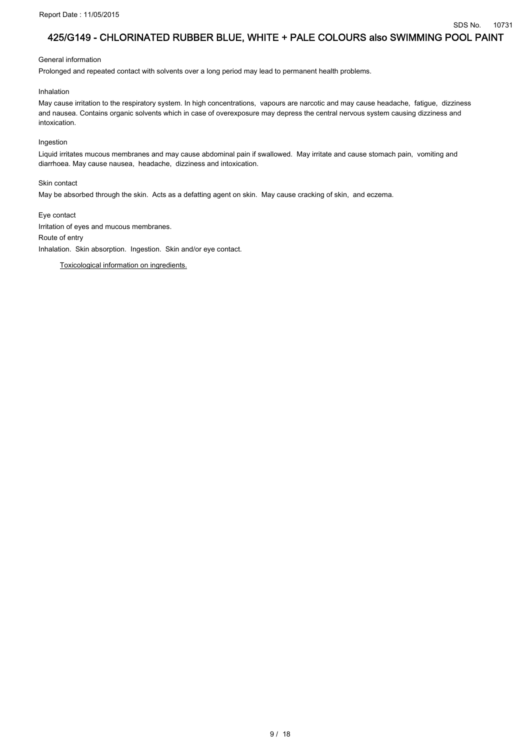General information

Prolonged and repeated contact with solvents over a long period may lead to permanent health problems.

Inhalation

May cause irritation to the respiratory system. In high concentrations, vapours are narcotic and may cause headache, fatigue, dizziness and nausea. Contains organic solvents which in case of overexposure may depress the central nervous system causing dizziness and intoxication.

Ingestion

Liquid irritates mucous membranes and may cause abdominal pain if swallowed. May irritate and cause stomach pain, vomiting and diarrhoea. May cause nausea, headache, dizziness and intoxication.

Skin contact

May be absorbed through the skin. Acts as a defatting agent on skin. May cause cracking of skin, and eczema.

Eye contact Irritation of eyes and mucous membranes. Route of entry Inhalation. Skin absorption. Ingestion. Skin and/or eye contact.

Toxicological information on ingredients.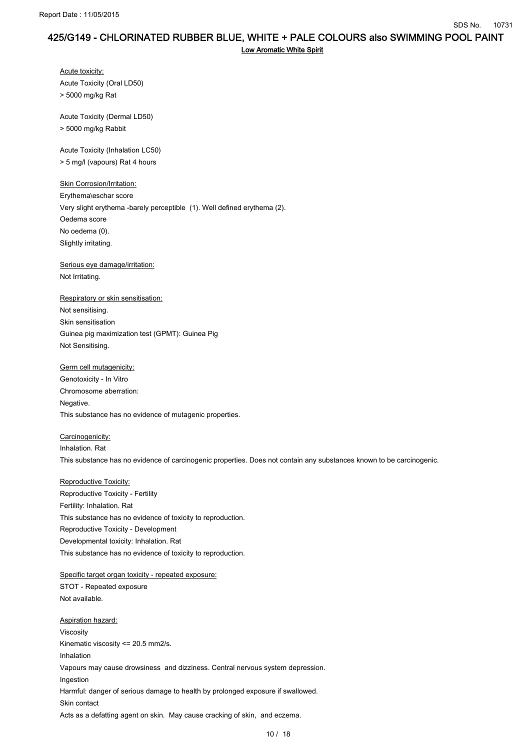```
Low Aromatic White Spirit
```
Acute toxicity: Acute Toxicity (Oral LD50) > 5000 mg/kg Rat

Acute Toxicity (Dermal LD50)

> 5000 mg/kg Rabbit

Acute Toxicity (Inhalation LC50) > 5 mg/l (vapours) Rat 4 hours

**Skin Corrosion/Irritation:** Erythema\eschar score Very slight erythema -barely perceptible (1). Well defined erythema (2). Oedema score No oedema (0). Slightly irritating.

Serious eye damage/irritation: Not Irritating.

## Respiratory or skin sensitisation:

Not sensitising. Skin sensitisation Guinea pig maximization test (GPMT): Guinea Pig Not Sensitising.

Germ cell mutagenicity:

Genotoxicity - In Vitro Chromosome aberration: Negative. This substance has no evidence of mutagenic properties.

Carcinogenicity: Inhalation. Rat This substance has no evidence of carcinogenic properties. Does not contain any substances known to be carcinogenic.

Reproductive Toxicity:

Reproductive Toxicity - Fertility Fertility: Inhalation. Rat This substance has no evidence of toxicity to reproduction. Reproductive Toxicity - Development Developmental toxicity: Inhalation. Rat This substance has no evidence of toxicity to reproduction.

Specific target organ toxicity - repeated exposure: STOT - Repeated exposure Not available.

Aspiration hazard: Viscosity Kinematic viscosity <= 20.5 mm2/s. Inhalation Vapours may cause drowsiness and dizziness. Central nervous system depression. Ingestion Harmful: danger of serious damage to health by prolonged exposure if swallowed. Skin contact Acts as a defatting agent on skin. May cause cracking of skin, and eczema.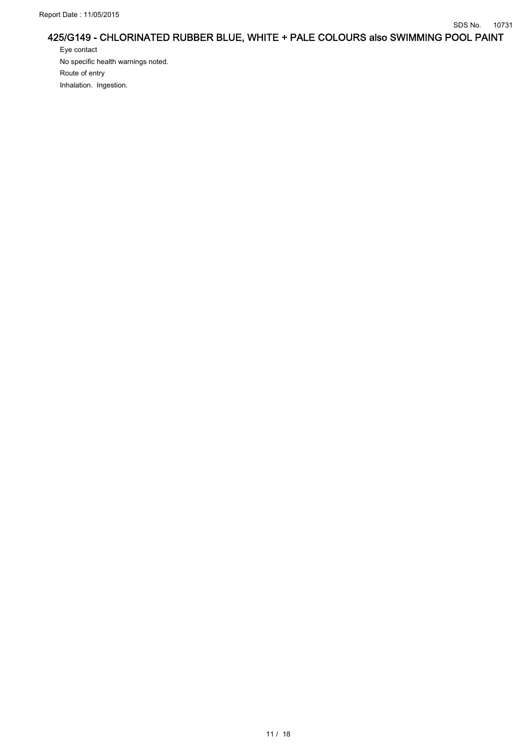Eye contact No specific health warnings noted. Route of entry Inhalation. Ingestion.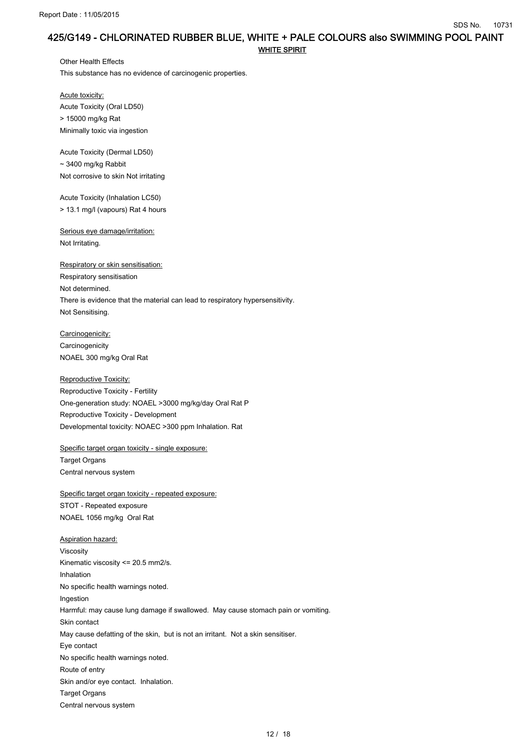Other Health Effects This substance has no evidence of carcinogenic properties.

Acute toxicity: Acute Toxicity (Oral LD50) > 15000 mg/kg Rat Minimally toxic via ingestion

Acute Toxicity (Dermal LD50)  $\sim$  3400 mg/kg Rabbit Not corrosive to skin Not irritating

Acute Toxicity (Inhalation LC50) > 13.1 mg/l (vapours) Rat 4 hours

Serious eye damage/irritation: Not Irritating.

Respiratory or skin sensitisation: Respiratory sensitisation Not determined. There is evidence that the material can lead to respiratory hypersensitivity. Not Sensitising.

Carcinogenicity: **Carcinogenicity** NOAEL 300 mg/kg Oral Rat

Reproductive Toxicity: Reproductive Toxicity - Fertility One-generation study: NOAEL >3000 mg/kg/day Oral Rat P Reproductive Toxicity - Development Developmental toxicity: NOAEC >300 ppm Inhalation. Rat

Specific target organ toxicity - single exposure: Target Organs Central nervous system

Specific target organ toxicity - repeated exposure: STOT - Repeated exposure NOAEL 1056 mg/kg Oral Rat

Aspiration hazard: Viscosity Kinematic viscosity <= 20.5 mm2/s. Inhalation No specific health warnings noted. Ingestion Harmful: may cause lung damage if swallowed. May cause stomach pain or vomiting. Skin contact May cause defatting of the skin, but is not an irritant. Not a skin sensitiser. Eye contact No specific health warnings noted. Route of entry Skin and/or eye contact. Inhalation. Target Organs Central nervous system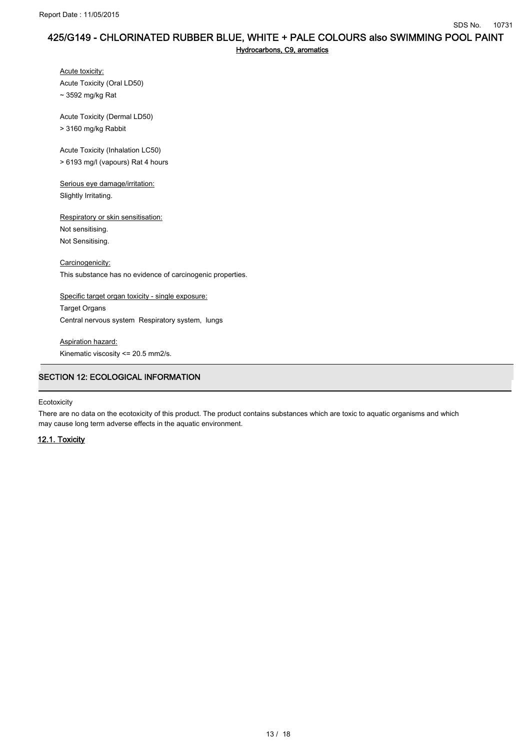Hydrocarbons, C9, aromatics

Acute toxicity: Acute Toxicity (Oral LD50) ~ 3592 mg/kg Rat

Acute Toxicity (Dermal LD50)

> 3160 mg/kg Rabbit

Acute Toxicity (Inhalation LC50) > 6193 mg/l (vapours) Rat 4 hours

Serious eye damage/irritation: Slightly Irritating.

Respiratory or skin sensitisation: Not sensitising. Not Sensitising.

Carcinogenicity: This substance has no evidence of carcinogenic properties.

Specific target organ toxicity - single exposure: Target Organs Central nervous system Respiratory system, lungs

Aspiration hazard: Kinematic viscosity <= 20.5 mm2/s.

# .<br>SECTION 12: ECOLOGICAL INFORMATION

Ecotoxicity

There are no data on the ecotoxicity of this product. The product contains substances which are toxic to aquatic organisms and which may cause long term adverse effects in the aquatic environment.

# 12.1. Toxicity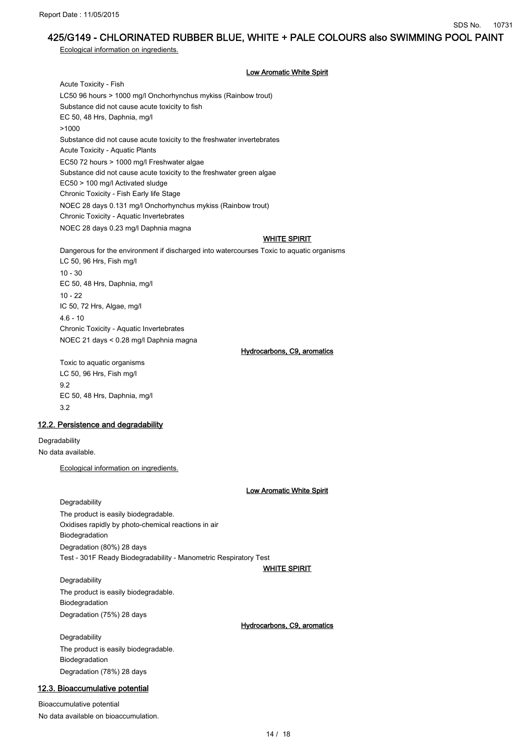Ecological information on ingredients.

### Low Aromatic White Spirit

Acute Toxicity - Fish LC50 96 hours > 1000 mg/l Onchorhynchus mykiss (Rainbow trout) Substance did not cause acute toxicity to fish EC 50, 48 Hrs, Daphnia, mg/l >1000 Substance did not cause acute toxicity to the freshwater invertebrates Acute Toxicity - Aquatic Plants EC50 72 hours > 1000 mg/l Freshwater algae Substance did not cause acute toxicity to the freshwater green algae EC50 > 100 mg/l Activated sludge Chronic Toxicity - Fish Early life Stage NOEC 28 days 0.131 mg/l Onchorhynchus mykiss (Rainbow trout) Chronic Toxicity - Aquatic Invertebrates NOEC 28 days 0.23 mg/l Daphnia magna

### WHITE SPIRIT

Dangerous for the environment if discharged into watercourses Toxic to aquatic organisms LC 50, 96 Hrs, Fish mg/l 10 - 30 EC 50, 48 Hrs, Daphnia, mg/l 10 - 22 IC 50, 72 Hrs, Algae, mg/l  $46 - 10$ Chronic Toxicity - Aquatic Invertebrates NOEC 21 days < 0.28 mg/l Daphnia magna Hydrocarbons, C9, aromatics

Toxic to aquatic organisms LC 50, 96 Hrs, Fish mg/l 9.2 EC 50, 48 Hrs, Daphnia, mg/l 3.2

### 12.2. Persistence and degradability

Degradability No data available.

Ecological information on ingredients.

### Low Aromatic White Spirit

Degradability The product is easily biodegradable. Oxidises rapidly by photo-chemical reactions in air Biodegradation Degradation (80%) 28 days Test - 301F Ready Biodegradability - Manometric Respiratory Test

### **WHITE SPIRIT**

**Degradability** The product is easily biodegradable. Biodegradation Degradation (75%) 28 days

### Hydrocarbons, C9, aromatics

**Degradability** The product is easily biodegradable. Biodegradation Degradation (78%) 28 days

# 12.3. Bioaccumulative potential

Bioaccumulative potential No data available on bioaccumulation.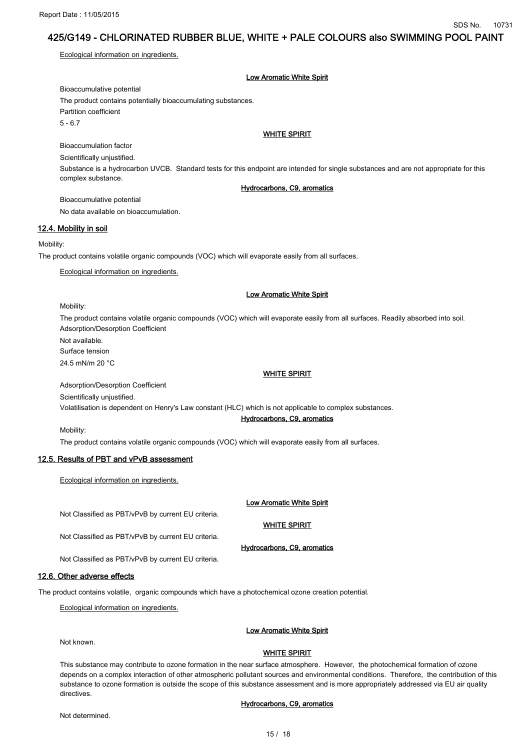Ecological information on ingredients.

Low Aromatic White Spirit

Bioaccumulative potential The product contains potentially bioaccumulating substances. Partition coefficient  $5 - 6.7$ 

### WHITE SPIRIT

Bioaccumulation factor Scientifically unjustified. Substance is a hydrocarbon UVCB. Standard tests for this endpoint are intended for single substances and are not appropriate for this complex substance.

### Hydrocarbons, C9, aromatics

Bioaccumulative potential No data available on bioaccumulation.

## 12.4. Mobility in soil

#### Mobility:

The product contains volatile organic compounds (VOC) which will evaporate easily from all surfaces.

Ecological information on ingredients.

### Low Aromatic White Spirit

#### Mobility:

Mobility:

The product contains volatile organic compounds (VOC) which will evaporate easily from all surfaces. Readily absorbed into soil. Adsorption/Desorption Coefficient

Not available.

Surface tension

24.5 mN/m 20 °C

WHITE SPIRIT

Adsorption/Desorption Coefficient

Scientifically unjustified.

Volatilisation is dependent on Henry's Law constant (HLC) which is not applicable to complex substances.

## Hydrocarbons, C9, aromatics

The product contains volatile organic compounds (VOC) which will evaporate easily from all surfaces.

### 12.5. Results of PBT and vPvB assessment

Ecological information on ingredients.

### Low Aromatic White Spirit

Not Classified as PBT/vPvB by current EU criteria.

**WHITE SPIRIT** 

Hydrocarbons, C9, aromatics

Not Classified as PBT/vPvB by current EU criteria.

Not Classified as PBT/vPvB by current EU criteria.

### 12.6. Other adverse effects

The product contains volatile, organic compounds which have a photochemical ozone creation potential.

Ecological information on ingredients.

### Low Aromatic White Spirit

Not known.

### **WHITE SPIRIT**

This substance may contribute to ozone formation in the near surface atmosphere. However, the photochemical formation of ozone depends on a complex interaction of other atmospheric pollutant sources and environmental conditions. Therefore, the contribution of this substance to ozone formation is outside the scope of this substance assessment and is more appropriately addressed via EU air quality directives.

#### Not determined.

### Hydrocarbons, C9, aromatics

15 / 18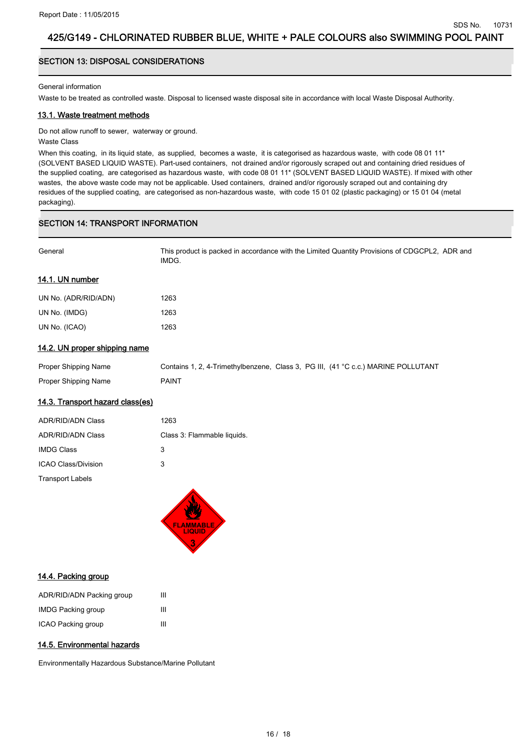# SECTION 13: DISPOSAL CONSIDERATIONS

### General information

Waste to be treated as controlled waste. Disposal to licensed waste disposal site in accordance with local Waste Disposal Authority.

### 13.1. Waste treatment methods

Do not allow runoff to sewer, waterway or ground.

### Waste Class

When this coating, in its liquid state, as supplied, becomes a waste, it is categorised as hazardous waste, with code 08 01 11\* (SOLVENT BASED LIQUID WASTE). Part-used containers, not drained and/or rigorously scraped out and containing dried residues of the supplied coating, are categorised as hazardous waste, with code 08 01 11\* (SOLVENT BASED LIQUID WASTE). If mixed with other wastes, the above waste code may not be applicable. Used containers, drained and/or rigorously scraped out and containing dry residues of the supplied coating, are categorised as non-hazardous waste, with code 15 01 02 (plastic packaging) or 15 01 04 (metal packaging).

# .<br>SECTION 14: TRANSPORT INFORMATION

| General | This product is packed in accordance with the Limited Quantity Provisions of CDGCPL2, ADR and |
|---------|-----------------------------------------------------------------------------------------------|
|         | <b>IMDG</b>                                                                                   |

## 14.1. UN number

| UN No. (ADR/RID/ADN) | 1263 |
|----------------------|------|
| UN No. (IMDG)        | 1263 |
| UN No. (ICAO)        | 1263 |

## 14.2. UN proper shipping name

| Proper Shipping Name | Contains 1, 2, 4-Trimethylbenzene, Class 3, PG III, (41 °C c.c.) MARINE POLLUTANT |  |
|----------------------|-----------------------------------------------------------------------------------|--|
| Proper Shipping Name | PAINT                                                                             |  |

## 14.3. Transport hazard class(es)

| <b>ADR/RID/ADN Class</b> | 1263                        |
|--------------------------|-----------------------------|
| <b>ADR/RID/ADN Class</b> | Class 3: Flammable liquids. |
| <b>IMDG Class</b>        | 3                           |
| ICAO Class/Division      | 3                           |
| <b>Transport Labels</b>  |                             |



### 14.4. Packing group

| ADR/RID/ADN Packing group | ш |
|---------------------------|---|
| <b>IMDG Packing group</b> | Ш |
| ICAO Packing group        | Ш |

### 14.5. Environmental hazards

Environmentally Hazardous Substance/Marine Pollutant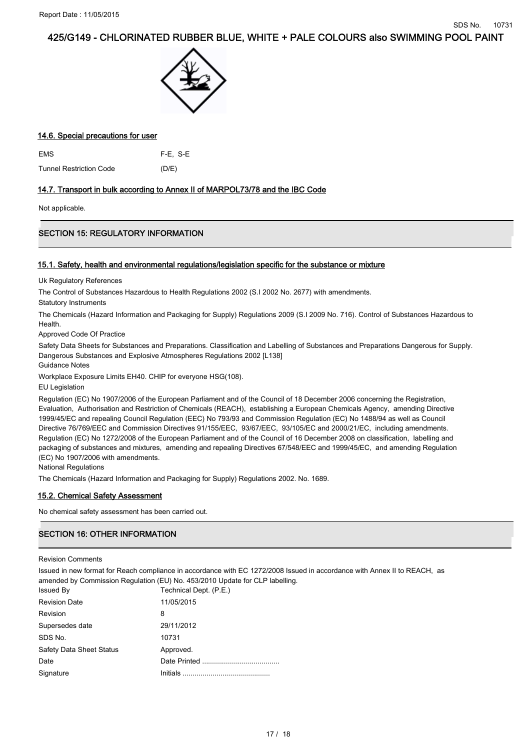

## 14.6. Special precautions for user

| <b>EMS</b>                     | $F-E. S-E$ |
|--------------------------------|------------|
| <b>Tunnel Restriction Code</b> | (D/E)      |

## 14.7. Transport in bulk according to Annex II of MARPOL73/78 and the IBC Code

Not applicable.

# SECTION 15: REGULATORY INFORMATION

## 15.1. Safety, health and environmental regulations/legislation specific for the substance or mixture

Uk Regulatory References

The Control of Substances Hazardous to Health Regulations 2002 (S.I 2002 No. 2677) with amendments.

Statutory Instruments

The Chemicals (Hazard Information and Packaging for Supply) Regulations 2009 (S.I 2009 No. 716). Control of Substances Hazardous to **Health** 

Approved Code Of Practice

Safety Data Sheets for Substances and Preparations. Classification and Labelling of Substances and Preparations Dangerous for Supply. Dangerous Substances and Explosive Atmospheres Regulations 2002 [L138]

Guidance Notes

Workplace Exposure Limits EH40. CHIP for everyone HSG(108).

EU Legislation

Regulation (EC) No 1907/2006 of the European Parliament and of the Council of 18 December 2006 concerning the Registration, Evaluation, Authorisation and Restriction of Chemicals (REACH), establishing a European Chemicals Agency, amending Directive 1999/45/EC and repealing Council Regulation (EEC) No 793/93 and Commission Regulation (EC) No 1488/94 as well as Council Directive 76/769/EEC and Commission Directives 91/155/EEC, 93/67/EEC, 93/105/EC and 2000/21/EC, including amendments. Regulation (EC) No 1272/2008 of the European Parliament and of the Council of 16 December 2008 on classification, labelling and packaging of substances and mixtures, amending and repealing Directives 67/548/EEC and 1999/45/EC, and amending Regulation (EC) No 1907/2006 with amendments.

National Regulations

The Chemicals (Hazard Information and Packaging for Supply) Regulations 2002. No. 1689.

# 15.2. Chemical Safety Assessment

No chemical safety assessment has been carried out.

# **SECTION 16: OTHER INFORMATION**

Revision Comments

Issued in new format for Reach compliance in accordance with EC 1272/2008 Issued in accordance with Annex II to REACH, as amended by Commission Regulation (EU) No. 453/2010 Update for CLP labelling.

| <b>Issued By</b>                | Technical Dept. (P.E.) |
|---------------------------------|------------------------|
| <b>Revision Date</b>            | 11/05/2015             |
| Revision                        | 8                      |
| Supersedes date                 | 29/11/2012             |
| SDS No.                         | 10731                  |
| <b>Safety Data Sheet Status</b> | Approved.              |
| Date                            |                        |
| Signature                       |                        |